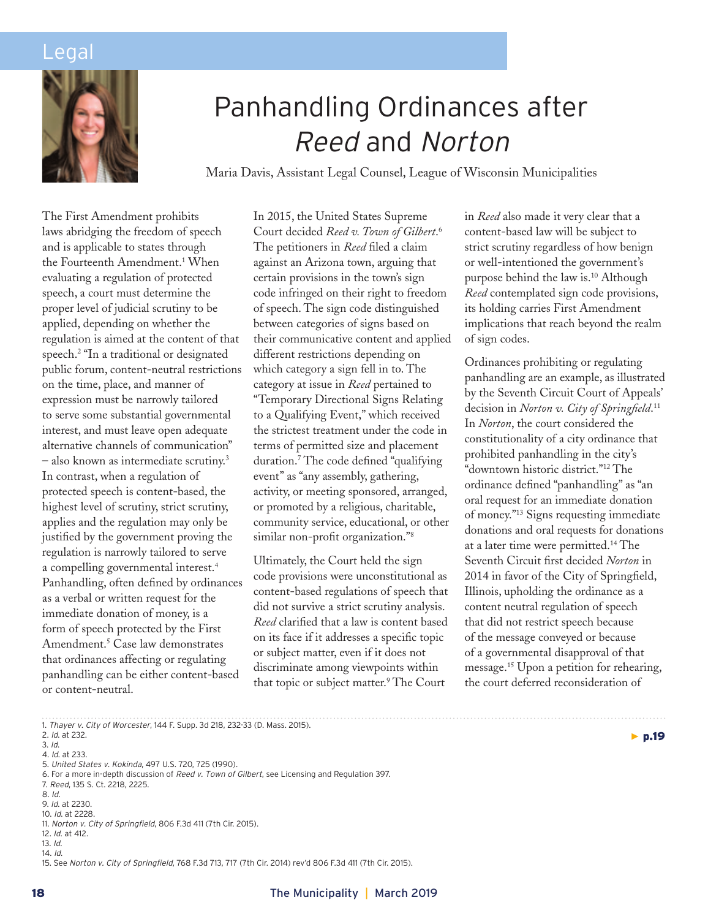

# Panhandling Ordinances after *Reed* and *Norton*

Maria Davis, Assistant Legal Counsel, League of Wisconsin Municipalities

The First Amendment prohibits laws abridging the freedom of speech and is applicable to states through the Fourteenth Amendment.1 When evaluating a regulation of protected speech, a court must determine the proper level of judicial scrutiny to be applied, depending on whether the regulation is aimed at the content of that speech.2 "In a traditional or designated public forum, content-neutral restrictions on the time, place, and manner of expression must be narrowly tailored to serve some substantial governmental interest, and must leave open adequate alternative channels of communication" – also known as intermediate scrutiny.3 In contrast, when a regulation of protected speech is content-based, the highest level of scrutiny, strict scrutiny, applies and the regulation may only be justified by the government proving the regulation is narrowly tailored to serve a compelling governmental interest.<sup>4</sup> Panhandling, often defined by ordinances as a verbal or written request for the immediate donation of money, is a form of speech protected by the First Amendment.5 Case law demonstrates that ordinances affecting or regulating panhandling can be either content-based or content-neutral.

In 2015, the United States Supreme Court decided *Reed v. Town of Gilbert*. 6 The petitioners in *Reed* filed a claim against an Arizona town, arguing that certain provisions in the town's sign code infringed on their right to freedom of speech. The sign code distinguished between categories of signs based on their communicative content and applied different restrictions depending on which category a sign fell in to. The category at issue in *Reed* pertained to "Temporary Directional Signs Relating to a Qualifying Event," which received the strictest treatment under the code in terms of permitted size and placement duration.7 The code defined "qualifying event" as "any assembly, gathering, activity, or meeting sponsored, arranged, or promoted by a religious, charitable, community service, educational, or other similar non-profit organization."8

Ultimately, the Court held the sign code provisions were unconstitutional as content-based regulations of speech that did not survive a strict scrutiny analysis. *Reed* clarified that a law is content based on its face if it addresses a specific topic or subject matter, even if it does not discriminate among viewpoints within that topic or subject matter.<sup>9</sup> The Court

in *Reed* also made it very clear that a content-based law will be subject to strict scrutiny regardless of how benign or well-intentioned the government's purpose behind the law is.10 Although *Reed* contemplated sign code provisions, its holding carries First Amendment implications that reach beyond the realm of sign codes.

Ordinances prohibiting or regulating panhandling are an example, as illustrated by the Seventh Circuit Court of Appeals' decision in *Norton v. City of Springfield*. 11 In *Norton*, the court considered the constitutionality of a city ordinance that prohibited panhandling in the city's "downtown historic district."12 The ordinance defined "panhandling" as "an oral request for an immediate donation of money."13 Signs requesting immediate donations and oral requests for donations at a later time were permitted.14 The Seventh Circuit first decided *Norton* in 2014 in favor of the City of Springfield, Illinois, upholding the ordinance as a content neutral regulation of speech that did not restrict speech because of the message conveyed or because of a governmental disapproval of that message.15 Upon a petition for rehearing, the court deferred reconsideration of

 $\blacktriangleright$  p.19

7. *Reed*, 135 S. Ct. 2218, 2225.

<sup>1.</sup> *Thayer v. City of Worcester*, 144 F. Supp. 3d 218, 232-33 (D. Mass. 2015).

<sup>2.</sup> *Id*. at 232.

<sup>3.</sup> *Id*.

<sup>4.</sup> *Id*. at 233.

<sup>5.</sup> *United States v. Kokinda*, 497 U.S. 720, 725 (1990).

<sup>6.</sup> For a more in-depth discussion of *Reed v. Town of Gilbert*, see Licensing and Regulation 397.

<sup>8.</sup> *Id*.

<sup>9.</sup> *Id*. at 2230.

<sup>10.</sup> *Id*. at 2228.

<sup>11.</sup> *Norton v. City of Springfield*, 806 F.3d 411 (7th Cir. 2015).

<sup>12.</sup> *Id*. at 412.

<sup>13.</sup> *Id*.

<sup>14.</sup> *Id*.

<sup>15.</sup> See *Norton v. City of Springfield*, 768 F.3d 713, 717 (7th Cir. 2014) rev'd 806 F.3d 411 (7th Cir. 2015).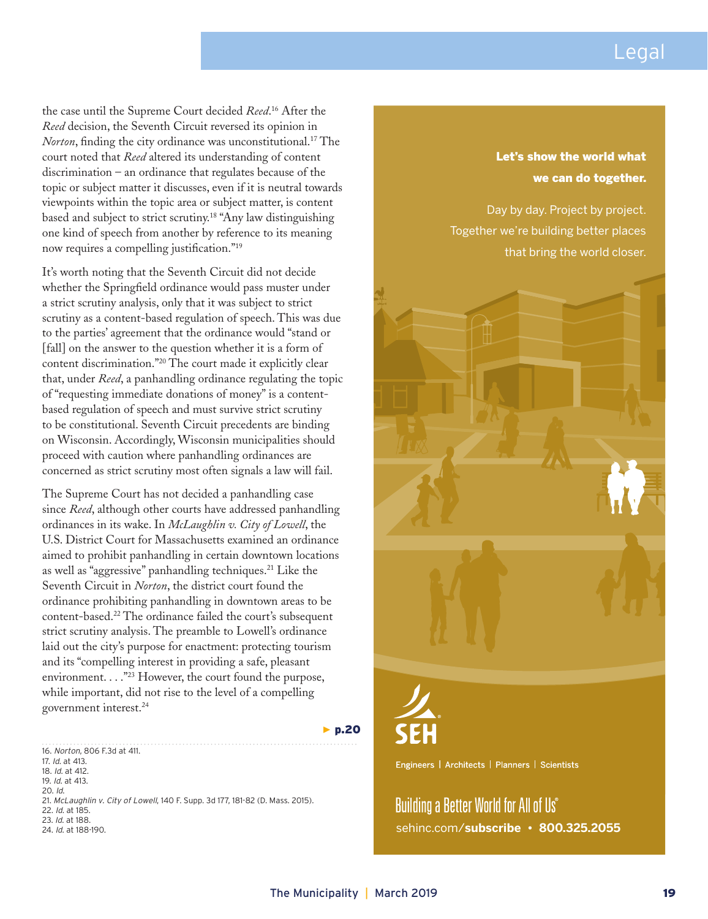the case until the Supreme Court decided *Reed*. 16 After the *Reed* decision, the Seventh Circuit reversed its opinion in *Norton*, finding the city ordinance was unconstitutional.<sup>17</sup> The court noted that *Reed* altered its understanding of content discrimination – an ordinance that regulates because of the topic or subject matter it discusses, even if it is neutral towards viewpoints within the topic area or subject matter, is content based and subject to strict scrutiny.18 "Any law distinguishing one kind of speech from another by reference to its meaning now requires a compelling justification."<sup>19</sup>

It's worth noting that the Seventh Circuit did not decide whether the Springfield ordinance would pass muster under a strict scrutiny analysis, only that it was subject to strict scrutiny as a content-based regulation of speech. This was due to the parties' agreement that the ordinance would "stand or [fall] on the answer to the question whether it is a form of content discrimination."20 The court made it explicitly clear that, under *Reed*, a panhandling ordinance regulating the topic of "requesting immediate donations of money" is a contentbased regulation of speech and must survive strict scrutiny to be constitutional. Seventh Circuit precedents are binding on Wisconsin. Accordingly, Wisconsin municipalities should proceed with caution where panhandling ordinances are concerned as strict scrutiny most often signals a law will fail.

The Supreme Court has not decided a panhandling case since *Reed*, although other courts have addressed panhandling ordinances in its wake. In *McLaughlin v. City of Lowell*, the U.S. District Court for Massachusetts examined an ordinance aimed to prohibit panhandling in certain downtown locations as well as "aggressive" panhandling techniques.21 Like the Seventh Circuit in *Norton*, the district court found the ordinance prohibiting panhandling in downtown areas to be content-based.22 The ordinance failed the court's subsequent strict scrutiny analysis. The preamble to Lowell's ordinance laid out the city's purpose for enactment: protecting tourism and its "compelling interest in providing a safe, pleasant environment. . . . "<sup>23</sup> However, the court found the purpose, while important, did not rise to the level of a compelling government interest.24

16. *Norton*, 806 F.3d at 411. 17. *Id*. at 413. 18. *Id*. at 412. 19. *Id*. at 413. 20. *Id*. 21. *McLaughlin v. City of Lowell*, 140 F. Supp. 3d 177, 181-82 (D. Mass. 2015). 22. *Id*. at 185. 23. *Id*. at 188. 24. *Id*. at 188-190.

#### Let's show the world what we can do together.

Day by day. Project by project. Together we're building better places that bring the world closer.





Engineers | Architects | Planners | Scientists

Building a Better World for All of Us® sehinc.com/**subscribe • 800.325.2055**

 $\blacktriangleright$  p.20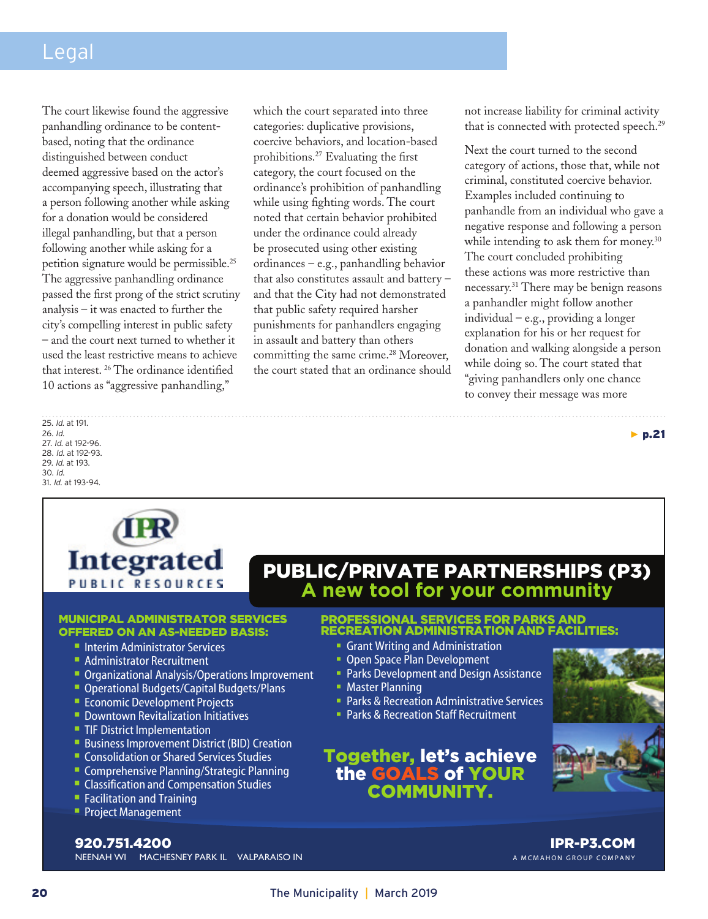The court likewise found the aggressive panhandling ordinance to be contentbased, noting that the ordinance distinguished between conduct deemed aggressive based on the actor's accompanying speech, illustrating that a person following another while asking for a donation would be considered illegal panhandling, but that a person following another while asking for a petition signature would be permissible.25 The aggressive panhandling ordinance passed the first prong of the strict scrutiny analysis – it was enacted to further the city's compelling interest in public safety – and the court next turned to whether it used the least restrictive means to achieve that interest. 26 The ordinance identified 10 actions as "aggressive panhandling,"

which the court separated into three categories: duplicative provisions, coercive behaviors, and location-based prohibitions.27 Evaluating the first category, the court focused on the ordinance's prohibition of panhandling while using fighting words. The court noted that certain behavior prohibited under the ordinance could already be prosecuted using other existing ordinances – e.g., panhandling behavior that also constitutes assault and battery – and that the City had not demonstrated that public safety required harsher punishments for panhandlers engaging in assault and battery than others committing the same crime.<sup>28</sup> Moreover, the court stated that an ordinance should not increase liability for criminal activity that is connected with protected speech.<sup>29</sup>

Next the court turned to the second category of actions, those that, while not criminal, constituted coercive behavior. Examples included continuing to panhandle from an individual who gave a negative response and following a person while intending to ask them for money.<sup>30</sup> The court concluded prohibiting these actions was more restrictive than necessary.31 There may be benign reasons a panhandler might follow another individual – e.g., providing a longer explanation for his or her request for donation and walking alongside a person while doing so. The court stated that "giving panhandlers only one chance to convey their message was more

25. *Id*. at 191. 26. *Id*. 27. *Id*. at 192-96. 28. *Id*. at 192-93. 29. *Id*. at 193. 30. *Id*. 31. *Id*. at 193-94.



# PUBLIC/PRIVATE PARTNERSHIPS (P3) **A new tool for your community**

#### MUNICIPAL ADMINISTRATOR SERVICES OFFERED ON AN AS-NEEDED BASIS:

- **Interim Administrator Services**
- **Administrator Recruitment**
- **Organizational Analysis/Operations Improvement**
- **Operational Budgets/Capital Budgets/Plans**
- **Economic Development Projects**
- **Downtown Revitalization Initiatives**
- **TIF District Implementation**
- **Business Improvement District (BID) Creation**
- **Consolidation or Shared Services Studies**
- **Comprehensive Planning/Strategic Planning**
- **Classification and Compensation Studies**
- **Facilitation and Training**
- **Project Management**

#### PROFESSIONAL SERVICES FOR PARKS AND RECREATION ADMINISTRATION AND FACILITIES:

- Grant Writing and Administration
- **Open Space Plan Development**
- Parks Development and Design Assistance
- **Master Planning**
- **Parks & Recreation Administrative Services**
- **Parks & Recreation Staff Recruitment**

### Together, let's achieve the GOALS of YOUR COMMUNITY.



▶ p.21



NEENAH WI MACHESNEY PARK IL VALPARAISO IN 920.751.4200

IPR-P3.COM A MCMAHON GROUP COMPANY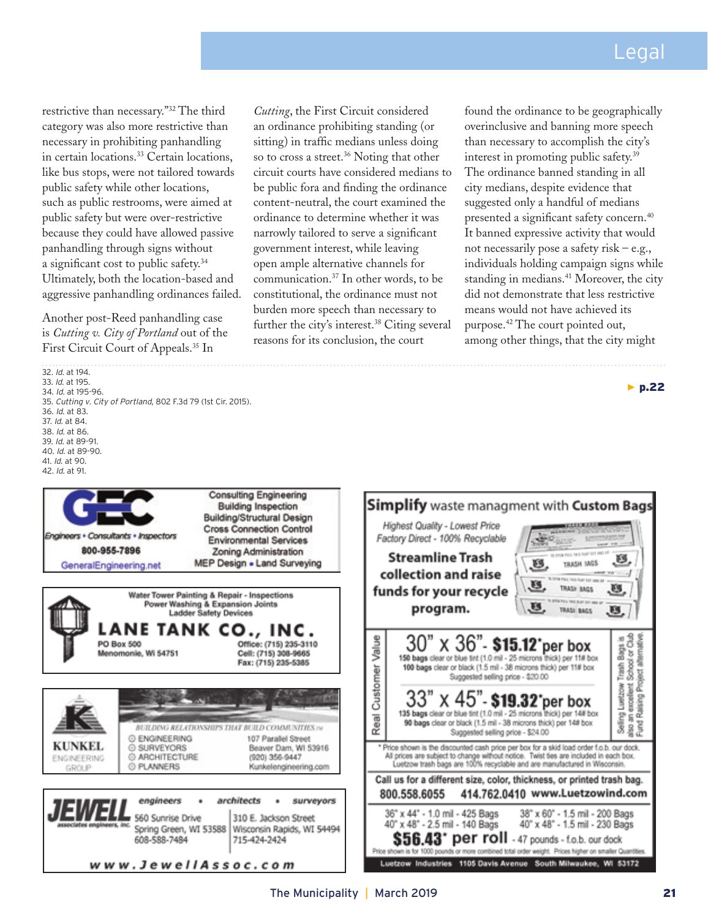restrictive than necessary."32 The third category was also more restrictive than necessary in prohibiting panhandling in certain locations.<sup>33</sup> Certain locations, like bus stops, were not tailored towards public safety while other locations, such as public restrooms, were aimed at public safety but were over-restrictive because they could have allowed passive panhandling through signs without a significant cost to public safety.34 Ultimately, both the location-based and aggressive panhandling ordinances failed.

Another post-Reed panhandling case is *Cutting v. City of Portland* out of the First Circuit Court of Appeals.35 In

32. *Id*. at 194. 33. *Id*. at 195. 34. *Id*. at 195-96. 35. *Cutting v. City of Portland*, 802 F.3d 79 (1st Cir. 2015). 36. *Id*. at 83. 37. *Id*. at 84. 38. *Id*. at 86. 39. *Id*. at 89-91. 40. *Id*. at 89-90. 41. *Id*. at 90. 42. *Id*. at 91. **Consulting Engineering Building Inspection** Building/Structural Design **Cross Connection Control** Engineers . Consultants . Inspectors **Environmental Services** 800-955-7896 Zoning Administration MEP Design . Land Surveying GeneralEngineering.net Water Tower Painting & Repair - Inspections Power Washing & Expansion Joints **Ladder Safety Devices** ANE TANK CO., INC. Customer Value PO Box 500 Office: (715) 235-3110 Menomonie, Wi 54751 Cell: (715) 308-9665 Fax: (715) 235-5385 Real BUILDING RELATIONSHIPS THAT BUILD COMMUNITIES IN © ENGINEERING 107 Parallel Street KUNKEL Ġ SURVEYORS Beaver Dam, WI 53916 © ARCHITECTURE (920) 356-9447 **ENGINEERING** @ PLANNERS Kunkelengineering.com GROLIP architects enaineers surveyors ٠

560 Sunrise Drive

608-588-7484

Spring Green, WI 53588

www.JewellAssoc.com

*Cutting*, the First Circuit considered an ordinance prohibiting standing (or sitting) in traffic medians unless doing so to cross a street.<sup>36</sup> Noting that other circuit courts have considered medians to be public fora and finding the ordinance content-neutral, the court examined the ordinance to determine whether it was narrowly tailored to serve a significant government interest, while leaving open ample alternative channels for communication.37 In other words, to be constitutional, the ordinance must not burden more speech than necessary to further the city's interest.<sup>38</sup> Citing several reasons for its conclusion, the court

found the ordinance to be geographically overinclusive and banning more speech than necessary to accomplish the city's interest in promoting public safety.39 The ordinance banned standing in all city medians, despite evidence that suggested only a handful of medians presented a significant safety concern.<sup>40</sup> It banned expressive activity that would not necessarily pose a safety risk – e.g., individuals holding campaign signs while standing in medians.<sup>41</sup> Moreover, the city did not demonstrate that less restrictive means would not have achieved its purpose.42 The court pointed out, among other things, that the city might

 $\blacktriangleright$  p.22



310 E. Jackson Street

715-424-2424

Wisconsin Rapids, WI 54494